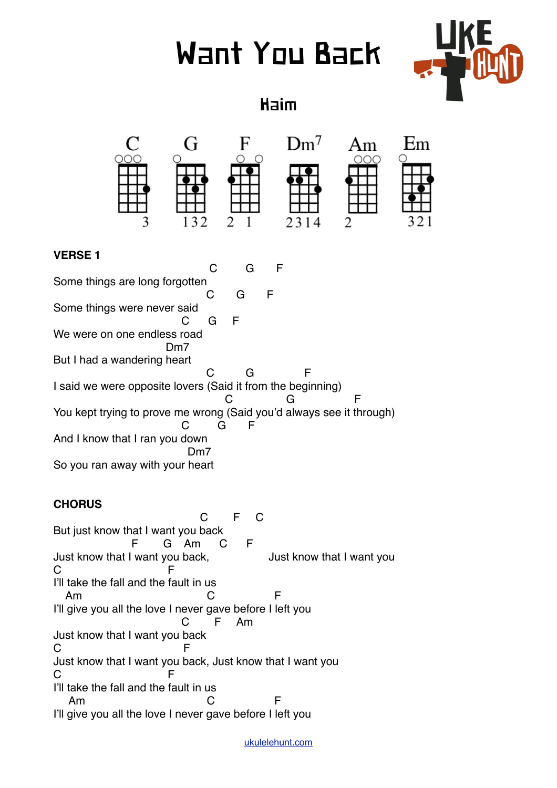# Want You Back



Haim

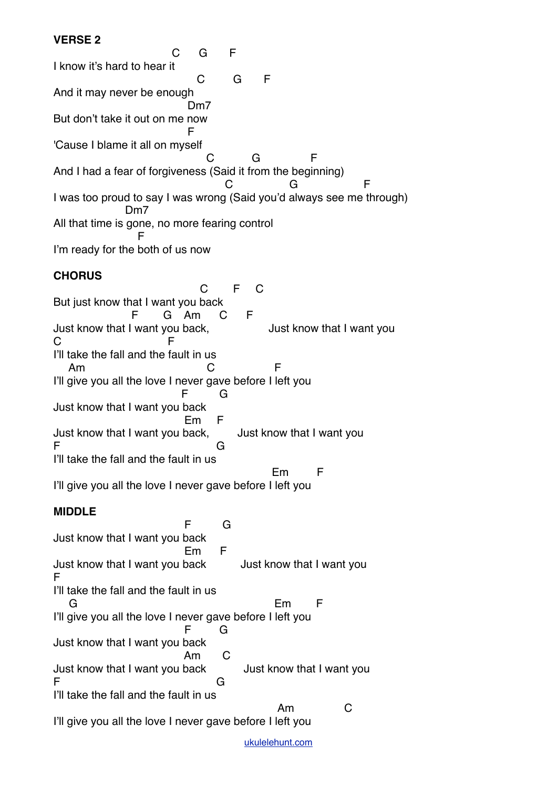#### **VERSE 2**

 C G F I know it's hard to hear it **C** G F And it may never be enough Dm7 But don't take it out on me now Figure 1999 and the state of the Figure 'Cause I blame it all on myself **C** G F And I had a fear of forgiveness (Said it from the beginning) **C** G F I was too proud to say I was wrong (Said you'd always see me through) Dm7 All that time is gone, no more fearing control Fig. 1999 - F I'm ready for the both of us now

## **CHORUS**

 C F C But just know that I want you back F G Am C F Just know that I want you back, Just know that I want you C F I'll take the fall and the fault in us Am C F I'll give you all the love I never gave before I left you F G Just know that I want you back Em F Just know that I want you back, Just know that I want you F G I'll take the fall and the fault in us en de la component de la component de la component de la component de la component de la component de la compo I'll give you all the love I never gave before I left you

**MIDDLE**

 F G Just know that I want you back Em F Just know that I want you back Just know that I want you F I'll take the fall and the fault in us G Em F I'll give you all the love I never gave before I left you **F** G Just know that I want you back **Am** C Just know that I want you back Just know that I want you F G I'll take the fall and the fault in us Am C I'll give you all the love I never gave before I left you